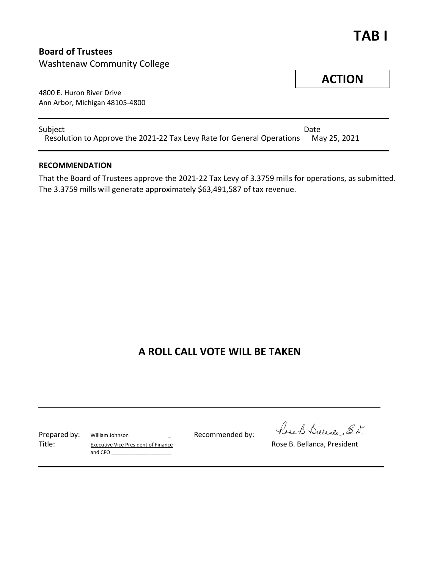## **TAB I**

### **Board of Trustees**

Washtenaw Community College

4800 E. Huron River Drive Ann Arbor, Michigan 48105-4800

Subject **Date** Resolution to Approve the 2021-22 Tax Levy Rate for General Operations May 25, 2021

### **RECOMMENDATION**

That the Board of Trustees approve the 2021-22 Tax Levy of 3.3759 mills for operations, as submitted. The 3.3759 mills will generate approximately \$63,491,587 of tax revenue.

### **A ROLL CALL VOTE WILL BE TAKEN**

Title: Executive Vice President of Finance **Executive Vice President** Conservative Vice President and CFO

have B. Bulance E.N.



Prepared by: William Johnson Recommended by: